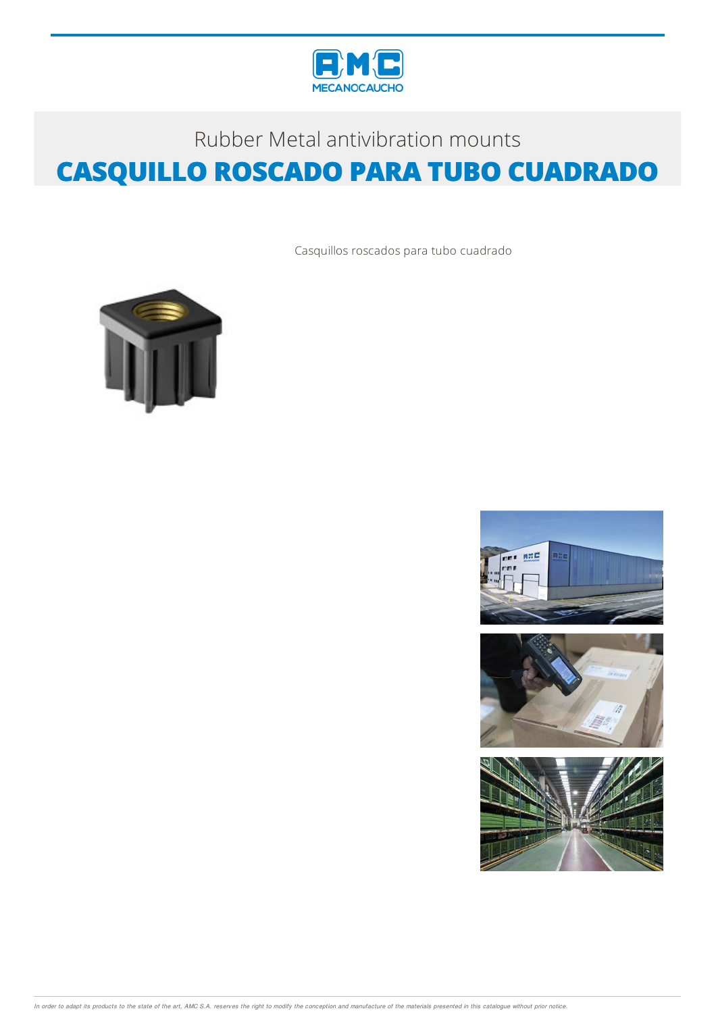

## Rubber Metal antivibration mounts **CASQUILLO ROSCADO PARA TUBO CUADRADO**

Casquillos roscados para tubo cuadrado